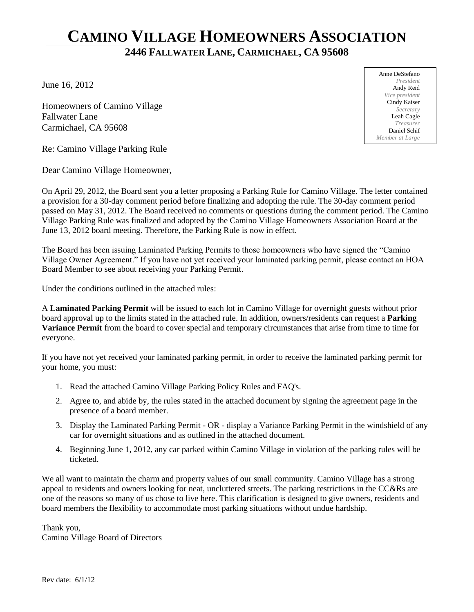# **CAMINO VILLAGE HOMEOWNERS ASSOCIATION**

## **2446 FALLWATER LANE, CARMICHAEL, CA 95608**

June 16, 2012

Homeowners of Camino Village Fallwater Lane Carmichael, CA 95608

Re: Camino Village Parking Rule

Dear Camino Village Homeowner,

On April 29, 2012, the Board sent you a letter proposing a Parking Rule for Camino Village. The letter contained a provision for a 30-day comment period before finalizing and adopting the rule. The 30-day comment period passed on May 31, 2012. The Board received no comments or questions during the comment period. The Camino Village Parking Rule was finalized and adopted by the Camino Village Homeowners Association Board at the June 13, 2012 board meeting. Therefore, the Parking Rule is now in effect.

The Board has been issuing Laminated Parking Permits to those homeowners who have signed the "Camino Village Owner Agreement." If you have not yet received your laminated parking permit, please contact an HOA Board Member to see about receiving your Parking Permit.

Under the conditions outlined in the attached rules:

A **Laminated Parking Permit** will be issued to each lot in Camino Village for overnight guests without prior board approval up to the limits stated in the attached rule. In addition, owners/residents can request a **Parking Variance Permit** from the board to cover special and temporary circumstances that arise from time to time for everyone.

If you have not yet received your laminated parking permit, in order to receive the laminated parking permit for your home, you must:

- 1. Read the attached Camino Village Parking Policy Rules and FAQ's.
- 2. Agree to, and abide by, the rules stated in the attached document by signing the agreement page in the presence of a board member.
- 3. Display the Laminated Parking Permit OR display a Variance Parking Permit in the windshield of any car for overnight situations and as outlined in the attached document.
- 4. Beginning June 1, 2012, any car parked within Camino Village in violation of the parking rules will be ticketed.

We all want to maintain the charm and property values of our small community. Camino Village has a strong appeal to residents and owners looking for neat, uncluttered streets. The parking restrictions in the CC&Rs are one of the reasons so many of us chose to live here. This clarification is designed to give owners, residents and board members the flexibility to accommodate most parking situations without undue hardship.

Thank you, Camino Village Board of Directors

Anne DeStefano *President* Andy Reid *Vice president* Cindy Kaiser *Secretary* Leah Cagle *Treasurer* Daniel Schif *Member at Large*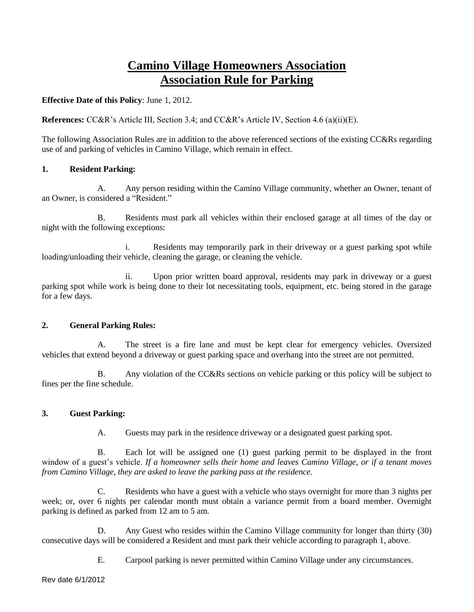## **Camino Village Homeowners Association Association Rule for Parking**

#### **Effective Date of this Policy**: June 1, 2012.

**References:** CC&R's Article III, Section 3.4; and CC&R's Article IV, Section 4.6 (a)(ii)(E).

The following Association Rules are in addition to the above referenced sections of the existing CC&Rs regarding use of and parking of vehicles in Camino Village, which remain in effect.

#### **1. Resident Parking:**

A. Any person residing within the Camino Village community, whether an Owner, tenant of an Owner, is considered a "Resident."

B. Residents must park all vehicles within their enclosed garage at all times of the day or night with the following exceptions:

i. Residents may temporarily park in their driveway or a guest parking spot while loading/unloading their vehicle, cleaning the garage, or cleaning the vehicle.

ii. Upon prior written board approval, residents may park in driveway or a guest parking spot while work is being done to their lot necessitating tools, equipment, etc. being stored in the garage for a few days.

#### **2. General Parking Rules:**

A. The street is a fire lane and must be kept clear for emergency vehicles. Oversized vehicles that extend beyond a driveway or guest parking space and overhang into the street are not permitted.

B. Any violation of the CC&Rs sections on vehicle parking or this policy will be subject to fines per the fine schedule.

#### **3. Guest Parking:**

A. Guests may park in the residence driveway or a designated guest parking spot.

B. Each lot will be assigned one (1) guest parking permit to be displayed in the front window of a guest's vehicle. *If a homeowner sells their home and leaves Camino Village, or if a tenant moves from Camino Village, they are asked to leave the parking pass at the residence.*

C. Residents who have a guest with a vehicle who stays overnight for more than 3 nights per week; or, over 6 nights per calendar month must obtain a variance permit from a board member. Overnight parking is defined as parked from 12 am to 5 am.

D. Any Guest who resides within the Camino Village community for longer than thirty (30) consecutive days will be considered a Resident and must park their vehicle according to paragraph 1, above.

E. Carpool parking is never permitted within Camino Village under any circumstances.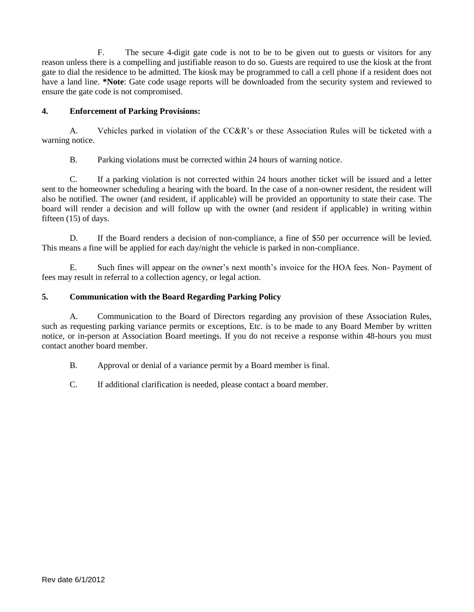F. The secure 4-digit gate code is not to be to be given out to guests or visitors for any reason unless there is a compelling and justifiable reason to do so. Guests are required to use the kiosk at the front gate to dial the residence to be admitted. The kiosk may be programmed to call a cell phone if a resident does not have a land line. **\*Note**: Gate code usage reports will be downloaded from the security system and reviewed to ensure the gate code is not compromised.

#### **4. Enforcement of Parking Provisions:**

A. Vehicles parked in violation of the CC&R's or these Association Rules will be ticketed with a warning notice.

B. Parking violations must be corrected within 24 hours of warning notice.

C. If a parking violation is not corrected within 24 hours another ticket will be issued and a letter sent to the homeowner scheduling a hearing with the board. In the case of a non-owner resident, the resident will also be notified. The owner (and resident, if applicable) will be provided an opportunity to state their case. The board will render a decision and will follow up with the owner (and resident if applicable) in writing within fifteen (15) of days.

D. If the Board renders a decision of non-compliance, a fine of \$50 per occurrence will be levied. This means a fine will be applied for each day/night the vehicle is parked in non-compliance.

E. Such fines will appear on the owner's next month's invoice for the HOA fees. Non- Payment of fees may result in referral to a collection agency, or legal action.

#### **5. Communication with the Board Regarding Parking Policy**

A. Communication to the Board of Directors regarding any provision of these Association Rules, such as requesting parking variance permits or exceptions, Etc. is to be made to any Board Member by written notice, or in-person at Association Board meetings. If you do not receive a response within 48-hours you must contact another board member.

B. Approval or denial of a variance permit by a Board member is final.

C. If additional clarification is needed, please contact a board member.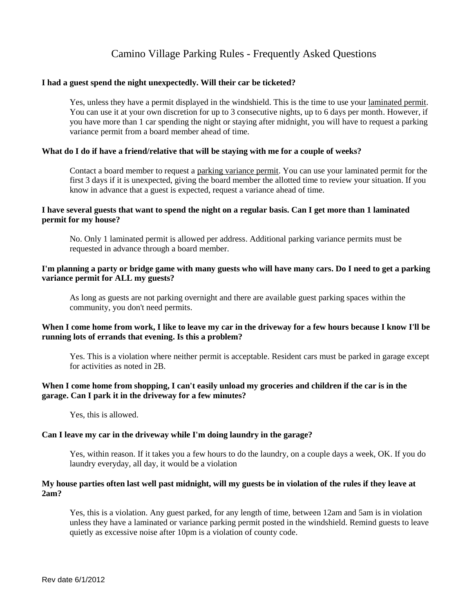### Camino Village Parking Rules - Frequently Asked Questions

#### **I had a guest spend the night unexpectedly. Will their car be ticketed?**

Yes, unless they have a permit displayed in the windshield. This is the time to use your laminated permit. You can use it at your own discretion for up to 3 consecutive nights, up to 6 days per month. However, if you have more than 1 car spending the night or staying after midnight, you will have to request a parking variance permit from a board member ahead of time.

#### **What do I do if have a friend/relative that will be staying with me for a couple of weeks?**

Contact a board member to request a parking variance permit. You can use your laminated permit for the first 3 days if it is unexpected, giving the board member the allotted time to review your situation. If you know in advance that a guest is expected, request a variance ahead of time.

#### **I have several guests that want to spend the night on a regular basis. Can I get more than 1 laminated permit for my house?**

No. Only 1 laminated permit is allowed per address. Additional parking variance permits must be requested in advance through a board member.

#### **I'm planning a party or bridge game with many guests who will have many cars. Do I need to get a parking variance permit for ALL my guests?**

As long as guests are not parking overnight and there are available guest parking spaces within the community, you don't need permits.

#### When I come home from work, I like to leave my car in the driveway for a few hours because I know I'll be **running lots of errands that evening. Is this a problem?**

Yes. This is a violation where neither permit is acceptable. Resident cars must be parked in garage except for activities as noted in 2B.

#### **When I come home from shopping, I can't easily unload my groceries and children if the car is in the garage. Can I park it in the driveway for a few minutes?**

Yes, this is allowed.

#### **Can I leave my car in the driveway while I'm doing laundry in the garage?**

Yes, within reason. If it takes you a few hours to do the laundry, on a couple days a week, OK. If you do laundry everyday, all day, it would be a violation

#### **My house parties often last well past midnight, will my guests be in violation of the rules if they leave at 2am?**

Yes, this is a violation. Any guest parked, for any length of time, between 12am and 5am is in violation unless they have a laminated or variance parking permit posted in the windshield. Remind guests to leave quietly as excessive noise after 10pm is a violation of county code.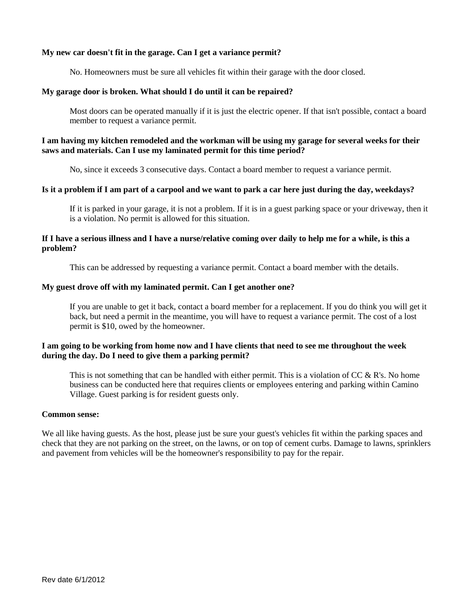#### **My new car doesn't fit in the garage. Can I get a variance permit?**

No. Homeowners must be sure all vehicles fit within their garage with the door closed.

#### **My garage door is broken. What should I do until it can be repaired?**

Most doors can be operated manually if it is just the electric opener. If that isn't possible, contact a board member to request a variance permit.

#### **I am having my kitchen remodeled and the workman will be using my garage for several weeks for their saws and materials. Can I use my laminated permit for this time period?**

No, since it exceeds 3 consecutive days. Contact a board member to request a variance permit.

#### **Is it a problem if I am part of a carpool and we want to park a car here just during the day, weekdays?**

If it is parked in your garage, it is not a problem. If it is in a guest parking space or your driveway, then it is a violation. No permit is allowed for this situation.

#### **If I have a serious illness and I have a nurse/relative coming over daily to help me for a while, is this a problem?**

This can be addressed by requesting a variance permit. Contact a board member with the details.

#### **My guest drove off with my laminated permit. Can I get another one?**

If you are unable to get it back, contact a board member for a replacement. If you do think you will get it back, but need a permit in the meantime, you will have to request a variance permit. The cost of a lost permit is \$10, owed by the homeowner.

#### **I am going to be working from home now and I have clients that need to see me throughout the week during the day. Do I need to give them a parking permit?**

This is not something that can be handled with either permit. This is a violation of  $CC \& R$ 's. No home business can be conducted here that requires clients or employees entering and parking within Camino Village. Guest parking is for resident guests only.

#### **Common sense:**

We all like having guests. As the host, please just be sure your guest's vehicles fit within the parking spaces and check that they are not parking on the street, on the lawns, or on top of cement curbs. Damage to lawns, sprinklers and pavement from vehicles will be the homeowner's responsibility to pay for the repair.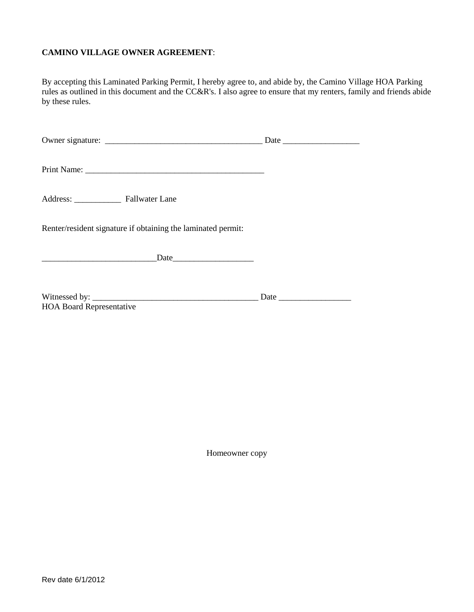#### **CAMINO VILLAGE OWNER AGREEMENT**:

By accepting this Laminated Parking Permit, I hereby agree to, and abide by, the Camino Village HOA Parking rules as outlined in this document and the CC&R's. I also agree to ensure that my renters, family and friends abide by these rules.

| Renter/resident signature if obtaining the laminated permit: |  |
|--------------------------------------------------------------|--|
|                                                              |  |
| <b>HOA Board Representative</b>                              |  |

Homeowner copy